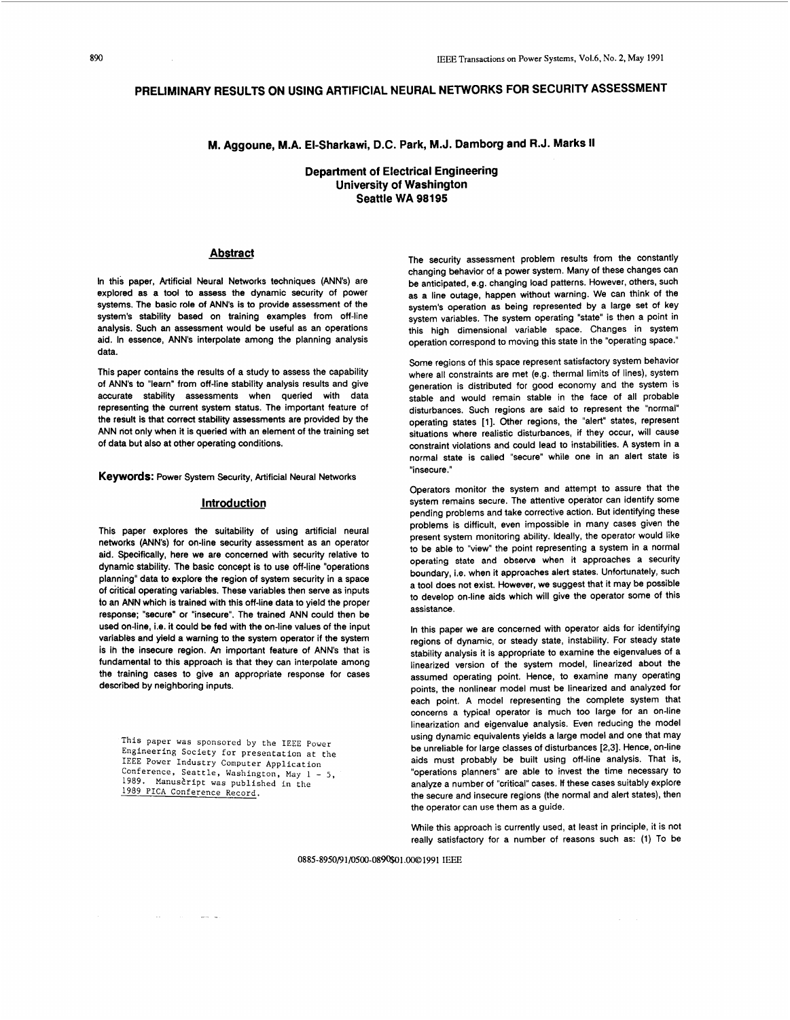# **PRELIMINARY RESULTS ON USING ARTIFICIAL NEURAL NETWORKS FOR SECURITY ASSESSMENT**

### **M. Aggoune, M.A. El-Sharkawi, D.C. Park, M.J. Damborg and R.J. Marks II**

**Department of Electrical Engineering University** *of* **Washington Seattle WA 98195** 

## **Abstract**

In this paper, Artificial Neural Networks techniques (ANN's) are explored as a tool to assess the dynamic security of power systems. The basic role of ANN'S is to provide assessment of the system's stability based on training examples from off-line analysis. Such an assessment would be useful as an operations aid. In essence, ANN'S interpolate among the planning analysis data.

This paper contains the results of a study to assess the capability of ANN's to "learn" from off-line stability analysis results and give accurate stability assessments when queried with data representing the current system status. The important feature of the result is that correct stability assessments are provided by the ANN not only when it is queried with an element of the training set of data but also at other operating conditions.

**Keywords:** Power System Security, Artificial Neural Networks

### **Introduction**

This paper explores the suitability of using artificial neural networks (ANN's) for on-line security assessment as an operator aid. Specifically, here we are concerned with security relative to dynamic stability. The basic concept is to use off-line "operations planning" data to explore the region of system security in a space of critical operating variables. These variables then serve as inputs **to** an ANN which is trained with this off-line data to yield the proper response; "secure" or "insecure". The trained ANN could then be used on-line, i.e. it could be fed with the on-line values of the input variables and yield a warning to the system operator if the system is in the insecure region. An important feature of ANN's that is fundamental to this approach is that they can interpolate among the training cases to give an appropriate response for cases described by neighboring inputs.

**This paper was sponsored by the IEEE Power Engineering Society for presentation at the IEEE Power Industry Computer Application Conference, Seattle, Washington, May** <sup>1</sup>- **5, 1989. Manuseript was published in the 1989 PICA Conference Record.** 

 $\mathcal{L}_{\mathrm{eff}}$ 

 $\sim$   $\sim$ 

The security assessment problem results from the constantly changing behavior of a power system. Many of these changes can be anticipated, e.g. changing load patterns. However, others, such as a line outage, happen without warning. We can think of the system's operation as being represented by a large set of key system variables. The system operating "state" is then a point in this high dimensional variable space. Changes in system operation correspond to moving this state in the "operating space."

Some regions of this space represent satisfactory system behavior where all constraints are met (e.g. thermal limits of lines), system generation is distributed for good economy and the system is stable and would remain stable in the face of all probable disturbances. Such regions are said to represent the "normal" operating states **[l].** Other regions, the "alert" states, represent situations where realistic disturbances, if they occur, will cause constraint violations and could lead to instabilities. A system in a normal state is called "secure" while one in an alert state is "insecure."

Operators monitor the system and attempt to assure that the system remains secure. The attentive operator can identify some pending problems and take corrective action. But identifying these problems is difficult, even impossible in many cases given the present system monitoring ability. Ideally, the operator would like to be able to "view" the point representing a system in a normal operating state and observe when it approaches a security boundary, i.e. when it approaches alert states. Unfortunately, such a tool does not exist. However, we suggest that it may be possible to develop on-line aids which will give the operator some of this assistance.

In this paper we are concerned with operator aids for identifying regions of dynamic, or steady state, instability. For steady state stability analysis it is appropriate to examine the eigenvalues of a linearized version of the system model, linearized about the assumed operating point. Hence, to examine many operating points, the nonlinear model must be linearized and analyzed for each point. A model representing the complete system that concerns a typical operator is much too large for an on-line linearization and eigenvalue analysis. Even reducing the model using dynamic equivalents yields a large model and one that may be unreliable for large classes of disturbances **[2,3].** Hence, on-line aids must probably be built using off-line analysis. That is, "operations planners" are able to invest the time necessary to analyze a number of "critical" cases. If these cases suitably explore the secure and insecure regions (the normal and alert states), then the operator can use them as a guide.

While this approach is currently used, at least in principle, it is not really satisfactory for a number of reasons such as: (1) To be

**0885-8950/91/0500-0890\$01** *.ooO* 1991 IEEE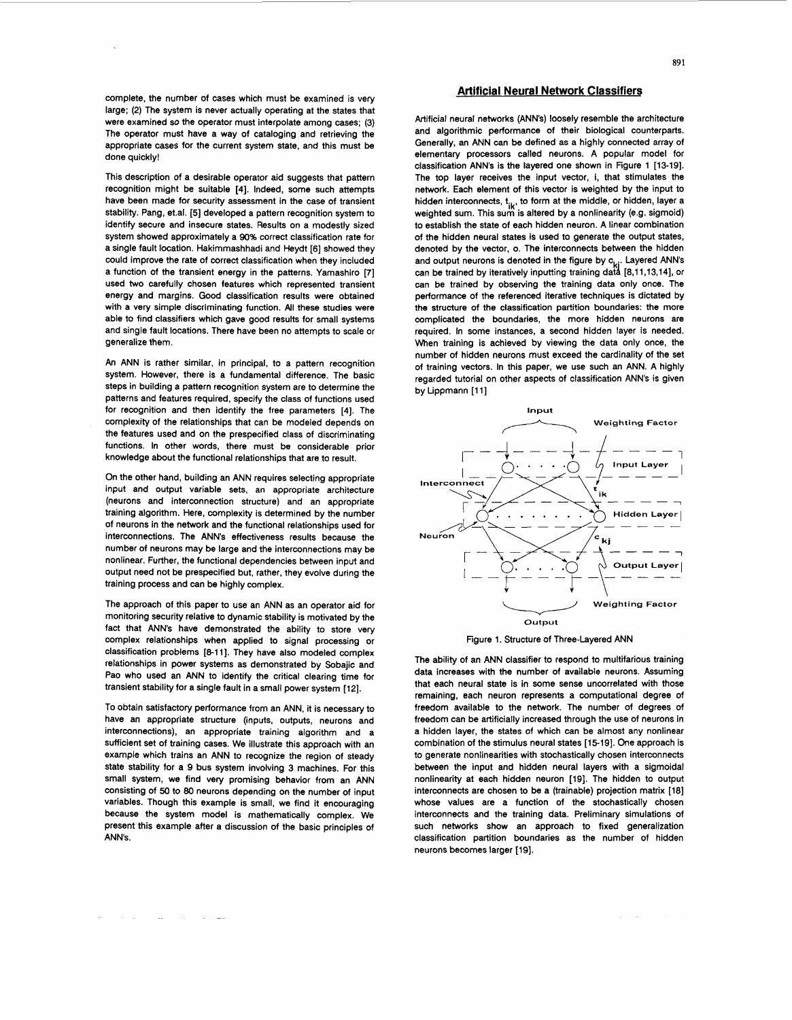<span id="page-1-0"></span>complete, the number of cases which must be examined is very large; (2) The system is never actually operating at the states that were examined so the operator must interpolate among cases; (3) The operator must have a way of cataloging and retrieving the appropriate cases for the current system state, and this must be done quickly!

This description of a desirable operator aid suggests that pattern recognition might be suitable [4]. Indeed, some such attempts have been made for security assessment in the case of transient stability. Pang, et.al. [5] developed a pattern recognition system to identify secure and insecure states. Results on a modestly sized system showed approximately a 90% correct classification rate for a single fault location. Hakimmashhadi and Heydt [6] showed they could improve the rate of correct classification when they included a function of the transient energy in the patterns. Yamashiro [7] used two carefully chosen features which represented transient energy and margins. Good classification results were obtained with a very simple discriminating function. All these studies were able to find classifiers which gave good results for small systems and single fault locations. There have been no attempts to scale or generalize them.

**An ANN** is rather similar, in principal, to a pattern recognition system. However, there is a fundamental difference. The basic steps in building a pattern recognition system are to determine the patterns and features required, specify the class of functions used for recognition and then identify the free parameters [4]. The complexity of the relationships that can be modeled depends on the features used and on the prespecified class of discriminating functions. In other words, there must be considerable prior knowledge about the functional relationships that are to result.

On the other hand, building an **ANN** requires selecting appropriate input and output variable sets, an appropriate architecture (neurons and interconnection structure) and an appropriate training algorithm. Here, complexity is determined by the number of neurons in the network and the functional relationships used for interconnections. The **ANN'S** effectiveness results because the number of neurons may be large and the interconnections may be nonlinear. Further, the functional dependencies between input and output need not be prespecified but, rather, they evolve during the training process and can be highly complex.

The approach of this paper to use an **ANN** as an operator aid for monitoring security relative to dynamic stability is motivated by the fact that **ANN'S** have demonstrated the ability to store very complex relationships when applied to signal processing or classification problems [8-11]. They have also modeled complex relationships in power systems as demonstrated by Sobajic and Pao who used an **ANN** to identify the critical clearing time **for**  transient stability for a single fault in a small power system [12].

To obtain satisfactory performance from an **ANN,** it is necessary to have an appropriate structure (inputs, outputs, neurons and interconnections), an appropriate training algorithm and a sufficient set of training cases. We illustrate this approach with an example which trains an **ANN** to recognize the region of steady state stability for a 9 bus system involving 3 machines. For this small system, we find very promising behavior from an **ANN**  consisting of *50* to *80* neurons depending on the number of input variables. Though this example is small, we find it encouraging because the system model is mathematically complex. We present this example after a discussion of the basic principles of **ANN'S.** 

### **Artificial Neural Network Classifiers**

Artificial neural networks **(ANN'S)** loosely resemble the architecture and algorithmic performance of their biological counterparts. Generally, an **ANN** can be defined as a highly connected array of elementary processors called neurons. **A** popular model for classification **ANN'S** is the layered one shown in Figure 1 [13-191. The top layer receives the input vector, i, that stimulates the network. Each element of this vector is weighted by the input to hidden interconnects,  $t_{ik}$ , to form at the middle, or hidden, layer a weighted sum. This sum is altered by a nonlinearity (e.g. sigmoid) to establish the state of each hidden neuron. **A** linear combination of the hidden neural states is used to generate the output states, denoted by the vector, *0.* The interconnects between the hidden and output neurons is denoted in the figure by c<sub>ki</sub>. Layered ANN's can be trained by iteratively inputting training data [8,11,13,14], or can be trained by observing the training data only once. The performance of the referenced iterative techniques is dictated by the structure of the classification partition boundaries: the more complicated the boundaries, the more hidden neurons are required. In some instances, a second hidden layer is needed. When training is achieved by viewing the data only once, the number of hidden neurons must exceed the cardinality of the set of training vectors. In this paper, we use such an **ANN. A** highly regarded tutorial on other aspects of classification ANN's is given<br>by Lippmann [11] undaries, the more hidden neurons are<br>
stances, a second hidden layer is needed.<br>
hieved by viewing the data only once, the<br>
urons must exceed the cardinality of the set<br>
it is paper, we use such an ANN. A highly<br>
ther as



Figure 1. Structure of Three-Layered **ANN** 

The ability of an **ANN** classifier to respond to multifarious training data increases with the number of available neurons. Assuming that each neural state is in some sense uncorrelated with those remaining, each neuron represents a computational degree of freedom available to the network. The number of degrees of freedom can be artificially increased through the use of neurons in a hidden layer, the states of which can be almost any nonlinear combination of the stimulus neural states [1519]. One approach is to generate nonlinearities with stochastically chosen interconnects between the input and hidden neural layers with a sigmoidal nonlinearity at each hidden neuron [19]. The hidden to output interconnects are chosen to be a (trainable) projection matrix [18] whose values are a function of the stochastically chosen interconnects and the training data. Preliminary simulations of such networks show an approach to fixed generalization classification partition boundaries as the number of hidden neurons becomes larger [19].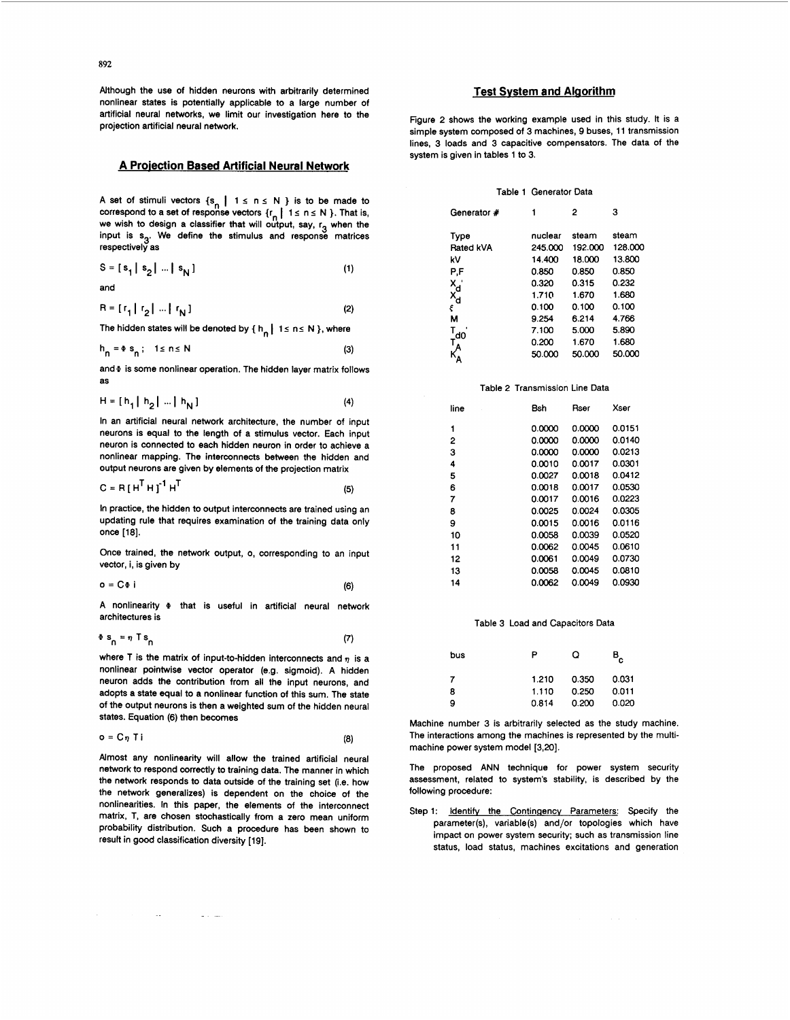Although the use of hidden neurons with arbitrarily determined nonlinear states is potentially applicable to a large number of artificial neural networks, we limit our investigation here to the projection artificial neural network.

### **A Proiection Based Artificial Neural Network**

A set of stimuli vectors  $\{s_n \mid 1 \le n \le N\}$  is to be made to correspond to a set of response vectors  $\{r_n\}$  1  $\le n \le N$  }. That is, we wish to design a classifier that will output, say,  $r<sub>2</sub>$  when the input is  $s_{3}$ . We define the stimulus and response matrices respectively as

$$
S = [s_1 | s_2 | \dots | s_N]
$$
 (1)

and

$$
R = [r_1 | r_2 | \dots | r_N]
$$
 (2)

The hidden states will be denoted by  $\{ h_n \mid 1 \le n \le N \}$ , where

$$
h_n = \Phi s_n; \quad 1 \le n \le N
$$
 (3)

and  $\Phi$  is some nonlinear operation. The hidden layer matrix follows as

$$
H = [h_1 | h_2 | ... | h_N]
$$
 (4)

In an artificial neural network architecture, the number of input neurons is equal to the length of a stimulus vector. Each input neuron is connected to each hidden neuron in order to achieve a nonlinear mapping. The interconnects between the hidden and output neurons are given by elements of the projection matrix

$$
C = R[HT H]T HT
$$
 (5)

In practice, the hidden to output interconnects are trained using an updating rule that requires examination of the training data only once **[la].** 

Once trained, the network output, *0,* corresponding to an input vector, i, is given by

$$
o = C \Phi \quad i \tag{6}
$$

A nonlinearity  $\Phi$  that is useful in artificial neural network architectures is

$$
\Phi s_n = n \text{ Ts}_n \tag{7}
$$

where T is the matrix of input-to-hidden interconnects and *q* is a nonlinear pointwise vector operator (e.g. sigmoid). A hidden neuron adds the contribution from all the input neurons, and adopts a state equal to a nonlinear function of this sum. The state of the output neurons is then a weighted sum of the hidden neural states. Equation (6) then becomes

$$
o = C_{\eta} T i \tag{8}
$$

Almost any nonlinearity will allow the trained artificial neural network to respond correctly to training data. The manner in which the network responds to data outside of the training set (i.e. how the network generalizes) is dependent on the choice of the nonlinearities. In this paper, the elements of the interconnect matrix, T, are chosen stochastically from a zero mean uniform probability distribution. Such a procedure has been shown to result in good classification diversity [19].

 $\sim 10$   $\sim$ 

### **Test System and Algorithm**

[Figure 2](#page-3-0) shows the working example used in this study. It is a simple system composed of 3 machines, 9 buses, 11 transmission lines, 3 loads and 3 capacitive compensators. The data of the system is given in tables 1 to 3.

#### Table 1 Generator Data

| Generator #          |         | 2       | 3       |
|----------------------|---------|---------|---------|
| Type                 | nuclear | steam   | steam   |
| Rated kVA            | 245,000 | 192.000 | 128,000 |
| k۷                   | 14.400  | 18.000  | 13.800  |
| P,F                  | 0.850   | 0.850   | 0.850   |
|                      | 0.320   | 0.315   | 0.232   |
| $x_d$<br>$x_d$       | 1.710   | 1.670   | 1.680   |
|                      | 0.100   | 0.100   | 0.100   |
| м                    | 9.254   | 6.214   | 4.766   |
|                      | 7.100   | 5.000   | 5.890   |
| $r_{\rm A}^{\rm d0}$ | 0.200   | 1.670   | 1.680   |
|                      | 50.000  | 50.000  | 50.000  |

#### Table 2 Transmission Line Data

| line | Bsh    | Rser   | Xser   |
|------|--------|--------|--------|
| 1    | 0.0000 | 0.0000 | 0.0151 |
| 2    | 0.0000 | 0.0000 | 0.0140 |
| 3    | 0.0000 | 0.0000 | 0.0213 |
| 4    | 0.0010 | 0.0017 | 0.0301 |
| 5    | 0.0027 | 0.0018 | 0.0412 |
| 6    | 0.0018 | 0.0017 | 0.0530 |
| 7    | 0.0017 | 0.0016 | 0.0223 |
| 8    | 0.0025 | 0.0024 | 0.0305 |
| 9    | 0.0015 | 0.0016 | 0.0116 |
| 10   | 0.0058 | 0.0039 | 0.0520 |
| 11   | 0.0062 | 0.0045 | 0.0610 |
| 12   | 0.0061 | 0.0049 | 0.0730 |
| 13   | 0.0058 | 0.0045 | 0.0810 |
| 14   | 0.0062 | 0.0049 | 0.0930 |

#### Table 3 Load and Capacitors Data

| bus | P     | Q     | $B_{c}$ |
|-----|-------|-------|---------|
| 7   | 1.210 | 0.350 | 0.031   |
| 8   | 1.110 | 0.250 | 0.011   |
| 9   | 0.814 | 0.200 | 0.020   |

Machine number 3 is arbitrarily selected as the study machine. The interactions among the machines is represented by the multimachine power system model [3,20].

The proposed ANN technique for power system security assessment, related to system's stability, is described by the following procedure:

Step 1: Identify the Contingency Parameters: Specify the parameter(s), variable(s) and/or topologies which have impact on power system security; such as transmission line status, load status, machines excitations and generation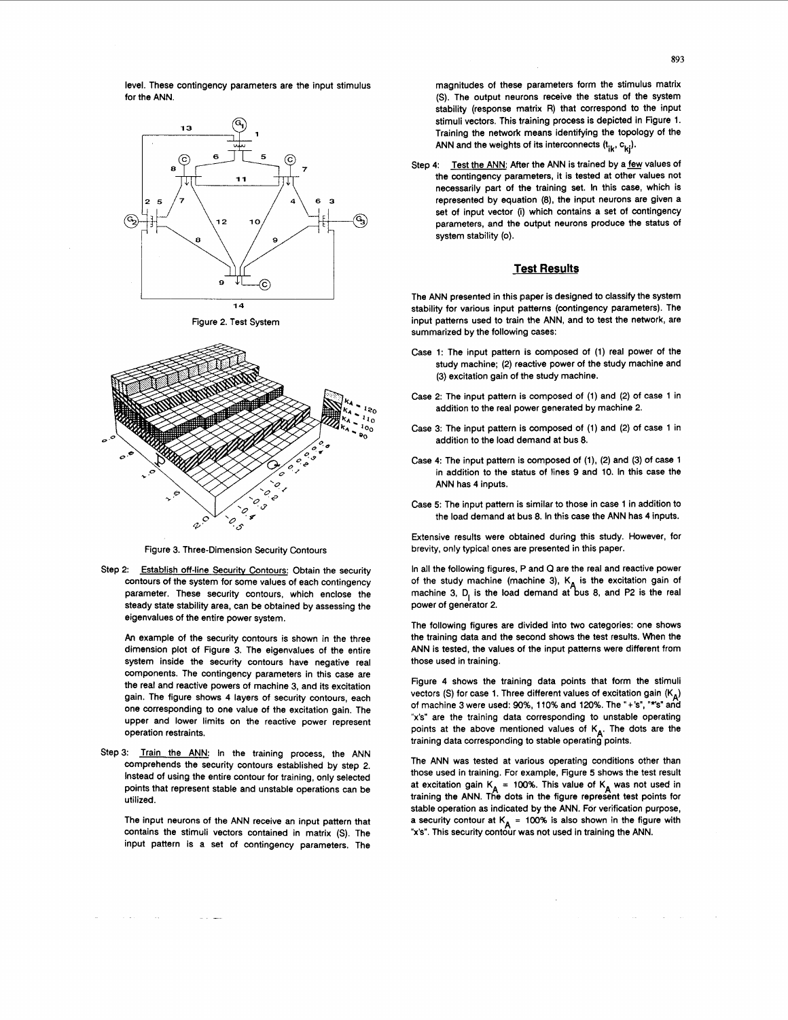<span id="page-3-0"></span>level. These contingency parameters are the input stimulus for the ANN.









Step 2: Establish off-line Security Contours: Obtain the security contours of the system for some values of each contingency parameter. These security contours, which enclose the steady state stability area, can be obtained by assessing the eigenvalues of the entire power system.

An example of the security contours is shown in the three dimension plot of Figure 3. The eigenvalues of the entire system inside the security contours have negative real components. The contingency parameters in this case are the real and reactive powers of machine 3, and its excitation gain. The figure shows 4 layers of security contours, each one corresponding to one value of the excitation gain. The upper and lower limits on the reactive power represent operation restraints.

Step 3: Train the ANN: In the training process, the ANN comprehends the security contours established by step 2. Instead of using the entire contour for training, only selected points that represent stable and unstable operations can be utilized.

The input neurons of the ANN receive an input pattern that contains the stimuli vectors contained in matrix (S). The input pattern is a set of contingency parameters. The

 $\sim$ 

magnitudes of these parameters form the stimulus matrix (S). The output neurons receive the status of the system stability (response matrix R) that correspond to the input stimuli vectors. This training process is depicted in [Figure](#page-1-0) **1.**  Training the network means identifying the topology of the ANN and the weights of its interconnects  $(t_{ik}, c_{ki})$ .

Step 4: Test the ANN: After the ANN is trained by a <u>few</u> values of the contingency parameters, it is tested at other values not necessarily part of the training set. In this case, which is represented by equation *(8),* the input neurons are given a set of input vector (i) which contains a set of contingency parameters, and the output neurons produce the status of system stability *(0).* 

### **Test Results**

The ANN presented in this paper is designed to classify the system stability for various input patterns (contingency parameters). The input patterns used to train the ANN, and to test the network, are summarized by the following cases:

- Case 1: The input pattern is composed of (1) real power of the study machine; (2) reactive power of the study machine and (3) excitation gain of the study machine.
- Case 2: The input pattern is composed of (1) and (2) of case 1 in addition to the real power generated by machine 2.
- Case 3: The input pattern is composed of (1) and (2) of case 1 in addition to the load demand at bus 8.
- Case 4: The input pattern is composed of **(l),** (2) and (3) of case 1 in addition to the status of lines 9 and 10. In this case the ANN has 4 inputs.
- Case 5: The input pattern is similar to those in case 1 in addition to the load demand at bus 8. In this case the ANN has 4 inputs.

Extensive results were obtained during this study. However, for brevity, only typical ones are presented in this paper.

In all the following figures, P and **Q** are the real and reactive power of the study machine (machine 3),  $K_A$  is the excitation gain of machine 3, D, is the load demand at bus 8, and P2 is the real power of generator 2.

The following figures are divided into two categories: one shows the training data and the second shows the test results. When the ANN is tested, the values of the input patterns were different from those used in training.

[Figure 4](#page-4-0) shows the training data points that form the stimuli vectors (S) for case 1. Three different values of excitation gain (K<sub>A</sub>) of machine 3 were used: **90%,** 110% and 120%. The **"t's", "\*'s"** and "x's" are the training data corresponding to unstable operating points at the above mentioned values of  $K_A$ . The dots are the training data corresponding to stable operating points.

The ANN was tested at various operating conditions other than those used in training. For example, [Figure 5](#page-4-0) shows the test result at excitation gain K<sub>A</sub> = 100%. This value of K<sub>A</sub> was not used in training the ANN. The dots in the figure represent test points for stable operation as indicated by the ANN. For verification purpose, a security contour at  $K_A = 100\%$  is also shown in the figure with "x's". This security contour was not used in training the ANN.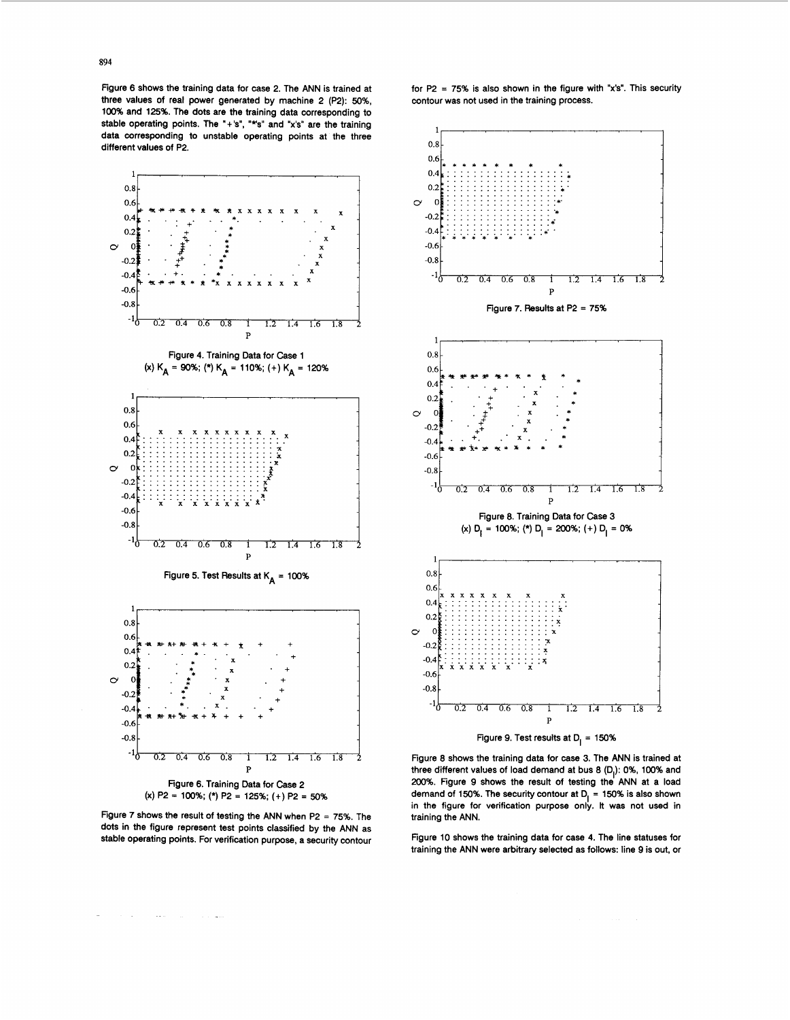<span id="page-4-0"></span>Figure 6 shows the training data for case 2. The ANN is trained at three values of real power generated by machine 2 (P2): 50%, 100% and 125%. The dots are the training data corresponding to stable operating points. The "+'s", "\*'s" and "x's" are the training data corresponding to unstable operating points at the three different values of P2.





Figure 7 shows the result of testing the ANN when  $P2 = 75\%$ . The dots in the figure represent test points classified by the ANN as stable operating points. For verification purpose, a security contour

 $\sim 10^{11}$  km  $^{-1}$ 

**Constantinople** 

ستفاد المناد

for  $P2 = 75\%$  is also shown in the figure with "x's". This security contour was not used in the training process.



Figure 8 shows the training data for case 3. The ANN is trained at three different values of load demand at bus 8 (D<sub>1</sub>): 0%, 100% and 200%. Figure 9 shows the result of testing the ANN at a load demand of 150%. The security contour at  $D_1 = 150\%$  is also shown in the figure for verification purpose only. It was not used in training the ANN.

Figure 10 shows the training data for case 4. The line statuses for training the ANN were arbitrary selected as follows: line 9 is out, or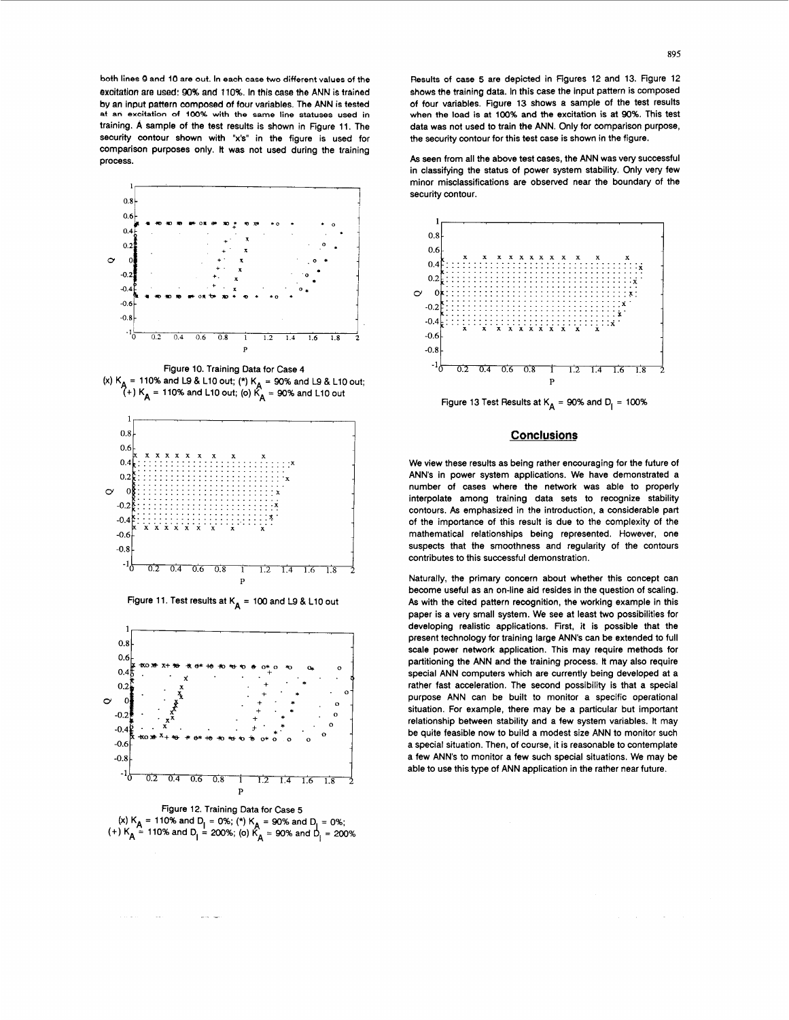<span id="page-5-0"></span>both lines 9 and 10 are out. In each case two different values of the excitation are used: 90% and 110%. In this case the ANN is trained by an input pattern composed of four variables. The ANN is tested at an excitation of 100% with the same line statuses used in training. A sample of the test results is shown in Figure 11. The security contour shown with "x's" in the figure is used for comparison purposes only. It was not used during the training process.



Figure 10. Training Data for Case 4 (x)  $K_A = 110\%$  and L9 & L10 out; (\*)  $K_A = 90\%$  and L9 & L10 out;<br>(+)  $K_A = 110\%$  and L10 out; (o)  $K_A = 90\%$  and L10 out



Figure 11. Test results at  $K_A = 100$  and L9 & L10 out



Figure 12. Training Data for Case 5 (x) K<sub>A</sub> = 110% and D<sub>I</sub> = 0%; (\*) K<sub>A</sub> = 90% and D<sub>I</sub> = 0%;<br>(+) K<sub>A</sub> = 110% and D<sub>I</sub> = 200%; (o) K<sub>A</sub> = 90% and D<sub>I</sub> = 200%

 $\sim$  10  $\pm$  10

 $\sim$   $\sim$ 

Results of case 5 are depicted in Figures 12 and 13. Figure 12 shows the training data. In this case the input pattern is composed of four variables. Figure 13 shows a sample of the test results when the load is at 100% and the excitation is at 90%. This test data was not used to train the ANN. Only for comparison purpose, the security contour for this test case is shown in the figure.

As seen from all the above test cases, the ANN was very successful in classifying the status of power system stability. Only very few minor misclassifications are observed near the boundary of the security contour.



Figure 13 Test Results at  $K_A$  = 90% and D<sub>1</sub> = 100%

## **Conclusions**

We view these results as being rather encouraging for the future of ANN's in power system applications. We have demonstrated a number of cases where the network was able to properly interpolate among training data sets to recognize stability contours. As emphasized in the introduction, a considerable part of the importance of this result is due to the complexity of the mathematical relationships being represented. However, one suspects that the smoothness and regularity of the contours contributes to this successful demonstration.

Naturally, the primary concern about whether this concept can become useful as an on-line aid resides in the question of scaling. As with the cited pattern recognition, the working example in this paper is a very small system. We see at least two possibilities for developing realistic applications. First, it is possible that the present technology for training large ANN's can be extended to full scale power network application. This may require methods for partitioning the ANN and the training process. It may also require special ANN computers which are currently being developed at a rather fast acceleration. The second possibility is that a special purpose ANN can be built to monitor a specific operational situation. For example, there may be a particular but important relationship between stability and a few system variables. It may be quite feasible now to build a modest size ANN to monitor such a special situation. Then, of course, it is reasonable to contemplate a few ANN's to monitor a few such special situations. We may be able to use this type of ANN application in the rather near future.